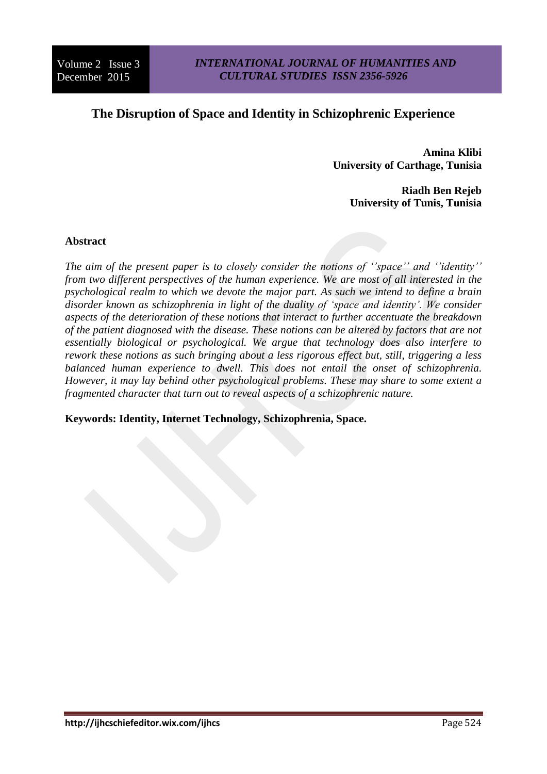# **The Disruption of Space and Identity in Schizophrenic Experience**

**Amina Klibi University of Carthage, Tunisia**

> **Riadh Ben Rejeb University of Tunis, Tunisia**

#### **Abstract**

*The aim of the present paper is to closely consider the notions of ''space'' and ''identity'' from two different perspectives of the human experience. We are most of all interested in the psychological realm to which we devote the major part. As such we intend to define a brain disorder known as schizophrenia in light of the duality of 'space and identity'. We consider aspects of the deterioration of these notions that interact to further accentuate the breakdown of the patient diagnosed with the disease. These notions can be altered by factors that are not essentially biological or psychological. We argue that technology does also interfere to rework these notions as such bringing about a less rigorous effect but, still, triggering a less balanced human experience to dwell. This does not entail the onset of schizophrenia. However, it may lay behind other psychological problems. These may share to some extent a fragmented character that turn out to reveal aspects of a schizophrenic nature.*

**Keywords: Identity, Internet Technology, Schizophrenia, Space.**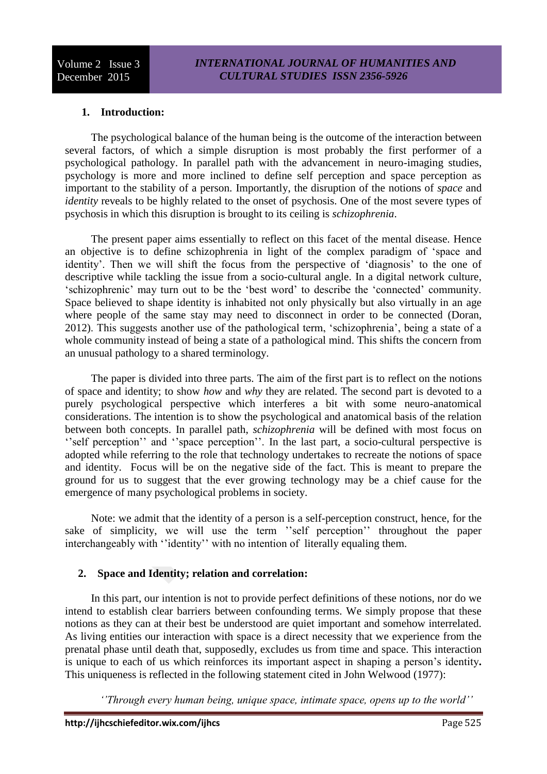# **1. Introduction:**

The psychological balance of the human being is the outcome of the interaction between several factors, of which a simple disruption is most probably the first performer of a psychological pathology. In parallel path with the advancement in neuro-imaging studies, psychology is more and more inclined to define self perception and space perception as important to the stability of a person. Importantly, the disruption of the notions of *space* and *identity* reveals to be highly related to the onset of psychosis. One of the most severe types of psychosis in which this disruption is brought to its ceiling is *schizophrenia*.

The present paper aims essentially to reflect on this facet of the mental disease. Hence an objective is to define schizophrenia in light of the complex paradigm of 'space and identity'. Then we will shift the focus from the perspective of 'diagnosis' to the one of descriptive while tackling the issue from a socio-cultural angle. In a digital network culture, 'schizophrenic' may turn out to be the 'best word' to describe the 'connected' community. Space believed to shape identity is inhabited not only physically but also virtually in an age where people of the same stay may need to disconnect in order to be connected (Doran, 2012). This suggests another use of the pathological term, 'schizophrenia', being a state of a whole community instead of being a state of a pathological mind. This shifts the concern from an unusual pathology to a shared terminology.

The paper is divided into three parts. The aim of the first part is to reflect on the notions of space and identity; to show *how* and *why* they are related. The second part is devoted to a purely psychological perspective which interferes a bit with some neuro-anatomical considerations. The intention is to show the psychological and anatomical basis of the relation between both concepts. In parallel path, *schizophrenia* will be defined with most focus on ''self perception'' and ''space perception''. In the last part, a socio-cultural perspective is adopted while referring to the role that technology undertakes to recreate the notions of space and identity. Focus will be on the negative side of the fact. This is meant to prepare the ground for us to suggest that the ever growing technology may be a chief cause for the emergence of many psychological problems in society.

Note: we admit that the identity of a person is a self-perception construct, hence, for the sake of simplicity, we will use the term ''self perception'' throughout the paper interchangeably with ''identity'' with no intention of literally equaling them.

# **2. Space and Identity; relation and correlation:**

In this part, our intention is not to provide perfect definitions of these notions, nor do we intend to establish clear barriers between confounding terms. We simply propose that these notions as they can at their best be understood are quiet important and somehow interrelated. As living entities our interaction with space is a direct necessity that we experience from the prenatal phase until death that, supposedly, excludes us from time and space. This interaction is unique to each of us which reinforces its important aspect in shaping a person's identity**.**  This uniqueness is reflected in the following statement cited in John Welwood (1977):

*''Through every human being, unique space, intimate space, opens up to the world''*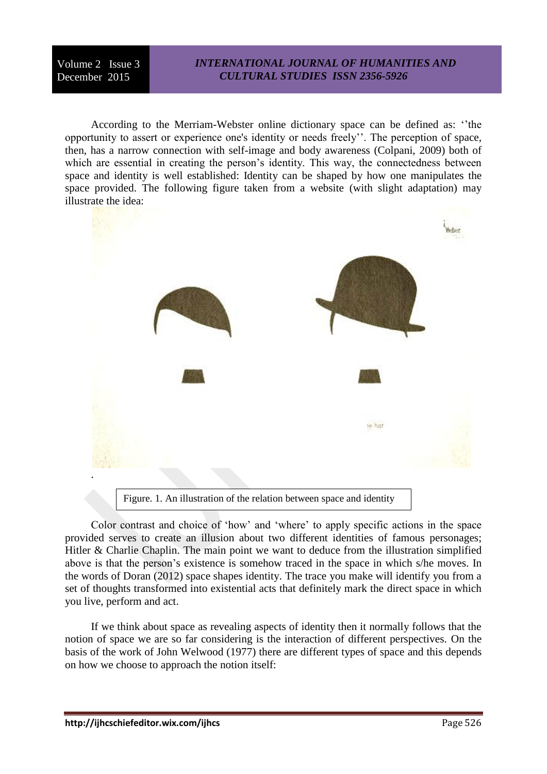## *INTERNATIONAL JOURNAL OF HUMANITIES AND CULTURAL STUDIES ISSN 2356-5926*

According to the Merriam-Webster online dictionary space can be defined as: ''the opportunity to assert or experience one's identity or needs freely''. The perception of space, then, has a narrow connection with self-image and body awareness (Colpani, 2009) both of which are essential in creating the person's identity. This way, the connectedness between space and identity is well established: Identity can be shaped by how one manipulates the space provided. The following figure taken from a website (with slight adaptation) may illustrate the idea:



Figure. 1. An illustration of the relation between space and identity

Color contrast and choice of 'how' and 'where' to apply specific actions in the space provided serves to create an illusion about two different identities of famous personages; Hitler & Charlie Chaplin. The main point we want to deduce from the illustration simplified above is that the person's existence is somehow traced in the space in which s/he moves. In the words of Doran (2012) space shapes identity. The trace you make will identify you from a set of thoughts transformed into existential acts that definitely mark the direct space in which you live, perform and act.

If we think about space as revealing aspects of identity then it normally follows that the notion of space we are so far considering is the interaction of different perspectives. On the basis of the work of John Welwood (1977) there are different types of space and this depends on how we choose to approach the notion itself: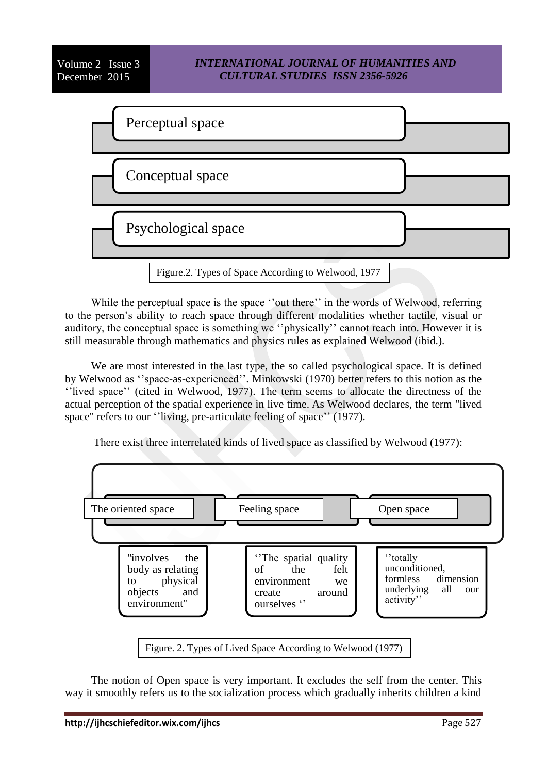# *INTERNATIONAL JOURNAL OF HUMANITIES AND CULTURAL STUDIES ISSN 2356-5926*



While the perceptual space is the space ''out there'' in the words of Welwood, referring to the person's ability to reach space through different modalities whether tactile, visual or auditory, the conceptual space is something we ''physically'' cannot reach into. However it is still measurable through mathematics and physics rules as explained Welwood (ibid.).

We are most interested in the last type, the so called psychological space. It is defined by Welwood as ''space-as-experienced''. Minkowski (1970) better refers to this notion as the ''lived space'' (cited in Welwood, 1977). The term seems to allocate the directness of the actual perception of the spatial experience in live time. As Welwood declares, the term "lived space" refers to our ''living, pre-articulate feeling of space'' (1977).

There exist three interrelated kinds of lived space as classified by Welwood (1977):



The notion of Open space is very important. It excludes the self from the center. This way it smoothly refers us to the socialization process which gradually inherits children a kind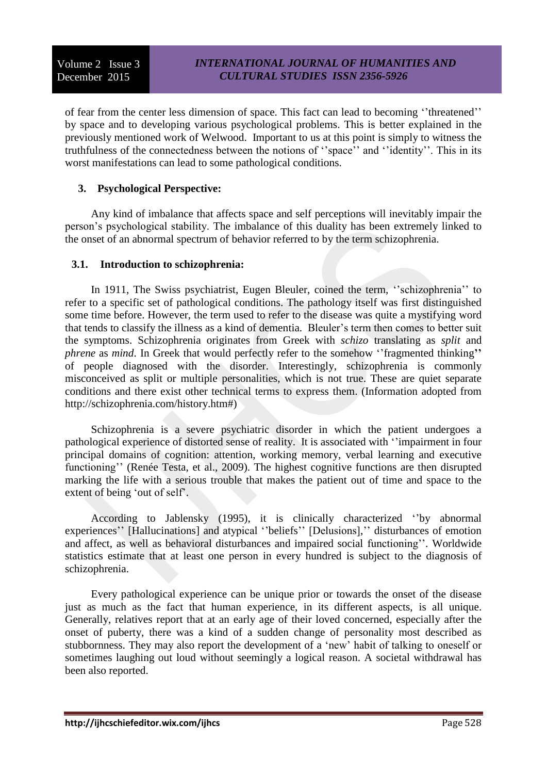of fear from the center less dimension of space. This fact can lead to becoming ''threatened'' by space and to developing various psychological problems. This is better explained in the previously mentioned work of Welwood. Important to us at this point is simply to witness the truthfulness of the connectedness between the notions of ''space'' and ''identity''. This in its worst manifestations can lead to some pathological conditions.

# **3. Psychological Perspective:**

Any kind of imbalance that affects space and self perceptions will inevitably impair the person's psychological stability. The imbalance of this duality has been extremely linked to the onset of an abnormal spectrum of behavior referred to by the term schizophrenia.

## **3.1. Introduction to schizophrenia:**

In 1911, The Swiss psychiatrist, Eugen Bleuler, coined the term, ''schizophrenia'' to refer to a specific set of pathological conditions. The pathology itself was first distinguished some time before. However, the term used to refer to the disease was quite a mystifying word that tends to classify the illness as a kind of dementia. Bleuler's term then comes to better suit the symptoms. Schizophrenia originates from Greek with *schizo* translating as *split* and *phrene* as *mind*. In Greek that would perfectly refer to the somehow ''fragmented thinking**''** of people diagnosed with the disorder. Interestingly, schizophrenia is commonly misconceived as split or multiple personalities, which is not true. These are quiet separate conditions and there exist other technical terms to express them. (Information adopted from http://schizophrenia.com/history.htm#)

Schizophrenia is a severe psychiatric disorder in which the patient undergoes a pathological experience of distorted sense of reality. It is associated with ''impairment in four principal domains of cognition: attention, working memory, verbal learning and executive functioning'' (Renée Testa, et al., 2009). The highest cognitive functions are then disrupted marking the life with a serious trouble that makes the patient out of time and space to the extent of being 'out of self'.

According to Jablensky (1995), it is clinically characterized ''by abnormal experiences'' [Hallucinations] and atypical ''beliefs'' [Delusions],'' disturbances of emotion and affect, as well as behavioral disturbances and impaired social functioning''. Worldwide statistics estimate that at least one person in every hundred is subject to the diagnosis of schizophrenia.

Every pathological experience can be unique prior or towards the onset of the disease just as much as the fact that human experience, in its different aspects, is all unique. Generally, relatives report that at an early age of their loved concerned, especially after the onset of puberty, there was a kind of a sudden change of personality most described as stubbornness. They may also report the development of a 'new' habit of talking to oneself or sometimes laughing out loud without seemingly a logical reason. A societal withdrawal has been also reported.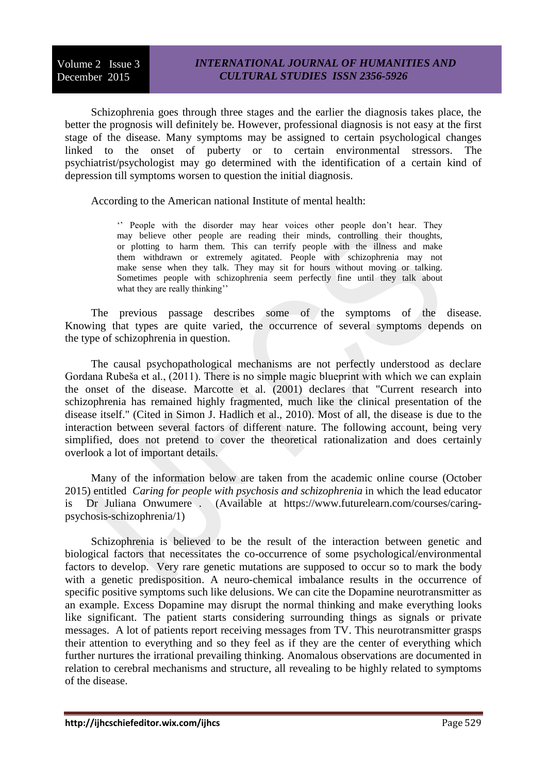Schizophrenia goes through three stages and the earlier the diagnosis takes place, the better the prognosis will definitely be. However, professional diagnosis is not easy at the first stage of the disease. Many symptoms may be assigned to certain psychological changes linked to the onset of puberty or to certain environmental stressors. The psychiatrist/psychologist may go determined with the identification of a certain kind of depression till symptoms worsen to question the initial diagnosis.

According to the American national Institute of mental health:

'' People with the disorder may hear voices other people don't hear. They may believe other people are reading their minds, controlling their thoughts, or plotting to harm them. This can terrify people with the illness and make them withdrawn or extremely agitated. People with schizophrenia may not make sense when they talk. They may sit for hours without moving or talking. Sometimes people with schizophrenia seem perfectly fine until they talk about what they are really thinking"

The previous passage describes some of the symptoms of the disease. Knowing that types are quite varied, the occurrence of several symptoms depends on the type of schizophrenia in question.

The causal psychopathological mechanisms are not perfectly understood as declare Gordana Rubeša et al., (2011). There is no simple magic blueprint with which we can explain the onset of the disease. Marcotte et al. (2001) declares that "Current research into schizophrenia has remained highly fragmented, much like the clinical presentation of the disease itself." (Cited in Simon J. Hadlich et al., 2010). Most of all, the disease is due to the interaction between several factors of different nature. The following account, being very simplified, does not pretend to cover the theoretical rationalization and does certainly overlook a lot of important details.

Many of the information below are taken from the academic online course (October 2015) entitled *[Caring for people with psychosis and schizophrenia](http://email.futurelearn.com/wf/click?upn=tH4-2Fmli62V7iqIL38lIvkRa3-2BfcdLHIDzY2FJDtm3akteXVKVtkE96SHobnk-2B1ZtfUiwkHLRlt080Lfo4TZQKv3DbRF5cvqeHDr5w1kqxbk-3D_0mlZxFJXOG0PXFkqvz5wNIyurekg6c4nv1Iwh3mB2SQUc0WOUawG8Pg5pqNUkS0rkvDIfsI7QkFXVd-2FAXEMNhsUWyxAyiTjCGq0lQFU-2BvUFQ4S7xlGXktw3w18Lq1UGZ58rLK9eqXFrSI9z-2Bb7Tdulzv495o-2BBBy6Az080e4zAN2drVha-2BBqzgb1mWNJROW16wpQSCZPwq0GKZf3u-2FSJnqrznCxVMY6qFaN14liBTUo-2FvvvwW6Ignhc7a6SHm5ktB7M6v9GrQJtD9Wn0FBEBPBSRaqCqj9PBhleI7vif08354ukvAe0M1J3qgy-2FCgAnZFJbSv41IaRQ5JHr5EB-2FY4etQgNF068DPWqQhR0MEo1uka3RK-2FzzCvCM4HCW9V-2FQZIm-2Ffwk20-2Bk5BaDOMetzQ7oZZTySSqczelxVKmhWiZANCnzOUl2ALLD76It6QhX8o9ZcWRvUXUpMJOOKIX-2B-2FsXg-3D-3D)* in which the lead educator is [Dr Juliana Onwumere](https://www.futurelearn.com/profiles/705354) . (Available at https://www.futurelearn.com/courses/caringpsychosis-schizophrenia/1)

Schizophrenia is believed to be the result of the interaction between genetic and biological factors that necessitates the co-occurrence of some psychological/environmental factors to develop. Very rare genetic mutations are supposed to occur so to mark the body with a genetic predisposition. A neuro-chemical imbalance results in the occurrence of specific positive symptoms such like delusions. We can cite the Dopamine neurotransmitter as an example. Excess Dopamine may disrupt the normal thinking and make everything looks like significant. The patient starts considering surrounding things as signals or private messages. A lot of patients report receiving messages from TV. This neurotransmitter grasps their attention to everything and so they feel as if they are the center of everything which further nurtures the irrational prevailing thinking. Anomalous observations are documented in relation to cerebral mechanisms and structure, all revealing to be highly related to symptoms of the disease.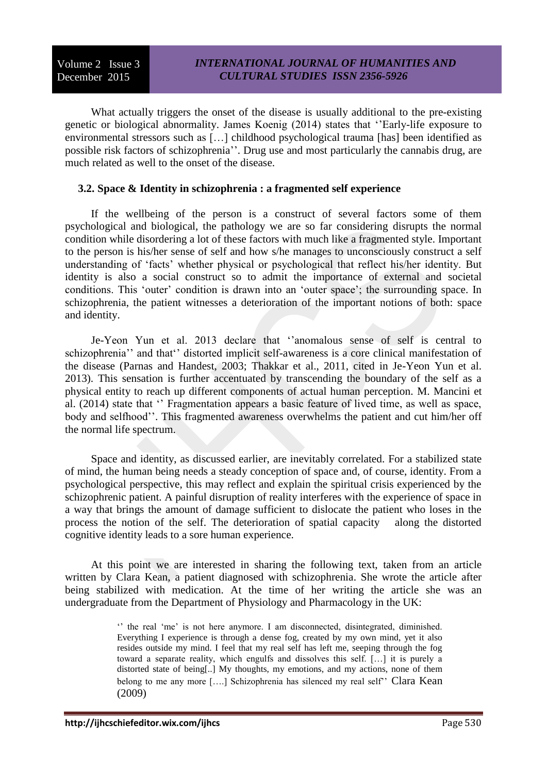What actually triggers the onset of the disease is usually additional to the pre-existing genetic or biological abnormality. James Koenig (2014) states that ''Early-life exposure to environmental stressors such as […] childhood psychological trauma [has] been identified as possible risk factors of schizophrenia''. Drug use and most particularly the cannabis drug, are much related as well to the onset of the disease.

## **3.2. Space & Identity in schizophrenia : a fragmented self experience**

If the wellbeing of the person is a construct of several factors some of them psychological and biological, the pathology we are so far considering disrupts the normal condition while disordering a lot of these factors with much like a fragmented style. Important to the person is his/her sense of self and how s/he manages to unconsciously construct a self understanding of 'facts' whether physical or psychological that reflect his/her identity. But identity is also a social construct so to admit the importance of external and societal conditions. This 'outer' condition is drawn into an 'outer space'; the surrounding space. In schizophrenia, the patient witnesses a deterioration of the important notions of both: space and identity.

Je-Yeon Yun et al. 2013 declare that ''anomalous sense of self is central to schizophrenia'' and that'' distorted implicit self-awareness is a core clinical manifestation of the disease (Parnas and Handest, 2003; Thakkar et al., 2011, cited in Je-Yeon Yun et al. 2013). This sensation is further accentuated by transcending the boundary of the self as a physical entity to reach up different components of actual human perception. M. Mancini et al. (2014) state that '' Fragmentation appears a basic feature of lived time, as well as space, body and selfhood''. This fragmented awareness overwhelms the patient and cut him/her off the normal life spectrum.

Space and identity, as discussed earlier, are inevitably correlated. For a stabilized state of mind, the human being needs a steady conception of space and, of course, identity. From a psychological perspective, this may reflect and explain the spiritual crisis experienced by the schizophrenic patient. A painful disruption of reality interferes with the experience of space in a way that brings the amount of damage sufficient to dislocate the patient who loses in the process the notion of the self. The deterioration of spatial capacity along the distorted cognitive identity leads to a sore human experience.

At this point we are interested in sharing the following text, taken from an article written by Clara Kean, a patient diagnosed with schizophrenia. She wrote the article after being stabilized with medication. At the time of her writing the article she was an undergraduate from the Department of Physiology and Pharmacology in the UK:

> '' the real 'me' is not here anymore. I am disconnected, disintegrated, diminished. Everything I experience is through a dense fog, created by my own mind, yet it also resides outside my mind. I feel that my real self has left me, seeping through the fog toward a separate reality, which engulfs and dissolves this self. […] it is purely a distorted state of being[..] My thoughts, my emotions, and my actions, none of them belong to me any more [….] Schizophrenia has silenced my real self'' Clara Kean (2009)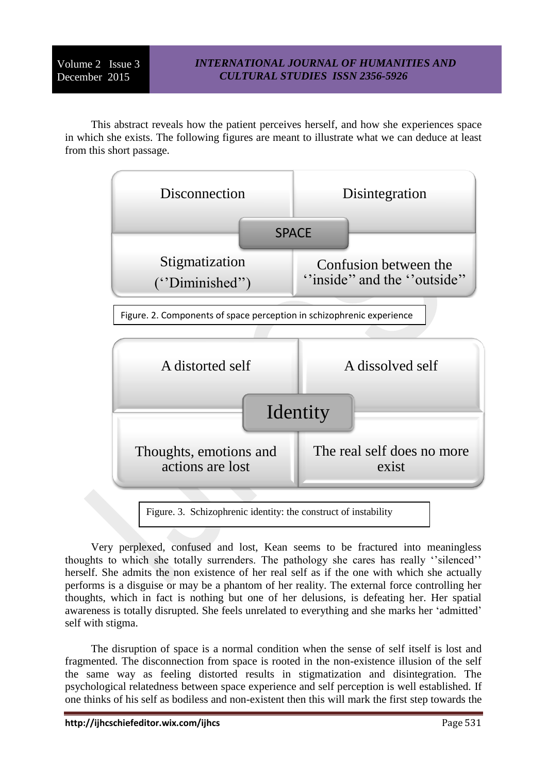This abstract reveals how the patient perceives herself, and how she experiences space in which she exists. The following figures are meant to illustrate what we can deduce at least from this short passage.



Very perplexed, confused and lost, Kean seems to be fractured into meaningless thoughts to which she totally surrenders. The pathology she cares has really ''silenced'' herself. She admits the non existence of her real self as if the one with which she actually performs is a disguise or may be a phantom of her reality. The external force controlling her thoughts, which in fact is nothing but one of her delusions, is defeating her. Her spatial awareness is totally disrupted. She feels unrelated to everything and she marks her 'admitted' self with stigma.

The disruption of space is a normal condition when the sense of self itself is lost and fragmented. The disconnection from space is rooted in the non-existence illusion of the self the same way as feeling distorted results in stigmatization and disintegration. The psychological relatedness between space experience and self perception is well established. If one thinks of his self as bodiless and non-existent then this will mark the first step towards the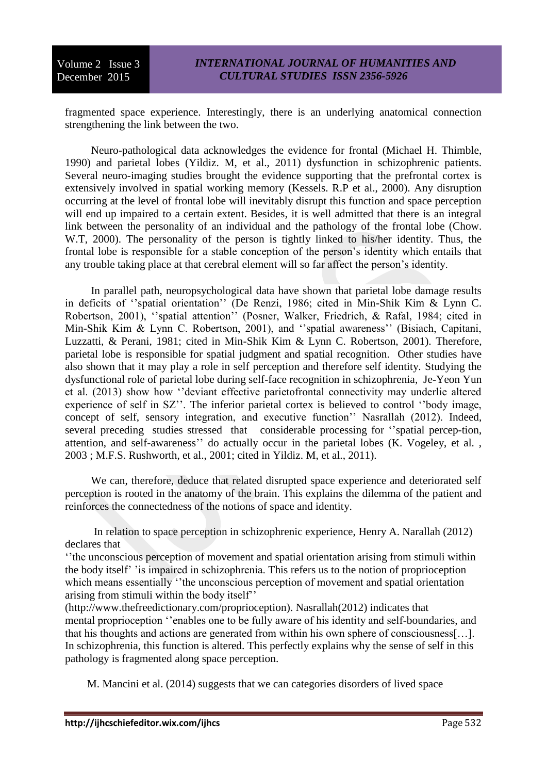fragmented space experience. Interestingly, there is an underlying anatomical connection strengthening the link between the two.

Neuro-pathological data acknowledges the evidence for frontal (Michael H. Thimble, 1990) and parietal lobes (Yildiz. M, et al., 2011) dysfunction in schizophrenic patients. Several neuro-imaging studies brought the evidence supporting that the prefrontal cortex is extensively involved in spatial working memory (Kessels. R.P et al., 2000). Any disruption occurring at the level of frontal lobe will inevitably disrupt this function and space perception will end up impaired to a certain extent. Besides, it is well admitted that there is an integral link between the personality of an individual and the pathology of the frontal lobe (Chow. W.T, 2000). The personality of the person is tightly linked to his/her identity. Thus, the frontal lobe is responsible for a stable conception of the person's identity which entails that any trouble taking place at that cerebral element will so far affect the person's identity.

In parallel path, neuropsychological data have shown that parietal lobe damage results in deficits of ''spatial orientation'' (De Renzi, 1986; cited in Min-Shik Kim & Lynn C. Robertson, 2001), ''spatial attention'' (Posner, Walker, Friedrich, & Rafal, 1984; cited in Min-Shik Kim & Lynn C. Robertson, 2001), and ''spatial awareness'' (Bisiach, Capitani, Luzzatti, & Perani, 1981; cited in Min-Shik Kim & Lynn C. Robertson, 2001). Therefore, parietal lobe is responsible for spatial judgment and spatial recognition. Other studies have also shown that it may play a role in self perception and therefore self identity. Studying the dysfunctional role of parietal lobe during self-face recognition in schizophrenia*,* Je-Yeon Yun et al. (2013) show how ''deviant effective parietofrontal connectivity may underlie altered experience of self in SZ''. The inferior parietal cortex is believed to control ''body image, concept of self, sensory integration, and executive function'' Nasrallah (2012). Indeed, several preceding studies stressed that considerable processing for "spatial percep-tion, attention, and self-awareness'' do actually occur in the parietal lobes (K. Vogeley, et al. , 2003 ; M.F.S. Rushworth, et al., 2001; cited in Yildiz. M, et al., 2011).

We can, therefore, deduce that related disrupted space experience and deteriorated self perception is rooted in the anatomy of the brain. This explains the dilemma of the patient and reinforces the connectedness of the notions of space and identity.

In relation to space perception in schizophrenic experience, Henry A. Narallah (2012) declares that

''the unconscious perception of movement and spatial orientation arising from stimuli within the body itself' 'is impaired in schizophrenia. This refers us to the notion of proprioception which means essentially "the unconscious perception of movement and spatial orientation arising from stimuli within the body itself''

(http://www.thefreedictionary.com/proprioception). Nasrallah(2012) indicates that mental proprioception ''enables one to be fully aware of his identity and self-boundaries, and that his thoughts and actions are generated from within his own sphere of consciousness[…]. In schizophrenia, this function is altered. This perfectly explains why the sense of self in this pathology is fragmented along space perception.

M. Mancini et al. (2014) suggests that we can categories disorders of lived space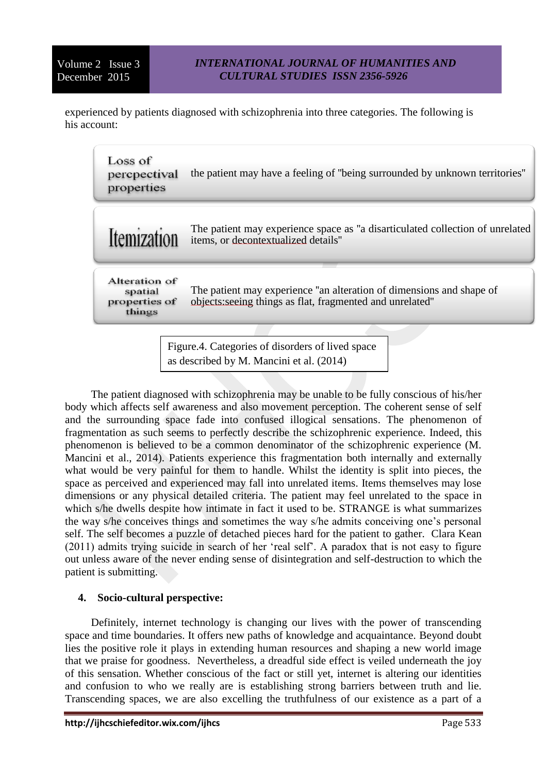experienced by patients diagnosed with schizophrenia into three categories. The following is his account:

| Loss of<br>percpectival<br>properties               | the patient may have a feeling of "being surrounded by unknown territories"                                                       |
|-----------------------------------------------------|-----------------------------------------------------------------------------------------------------------------------------------|
| Itemization                                         | The patient may experience space as "a disarticulated collection of unrelated<br>items, or decontextualized details"              |
| Alteration of<br>spatial<br>properties of<br>things | The patient may experience "an alteration of dimensions and shape of<br>objects: seeing things as flat, fragmented and unrelated" |
|                                                     |                                                                                                                                   |
| Figure.4. Categories of disorders of lived space    |                                                                                                                                   |

The patient diagnosed with schizophrenia may be unable to be fully conscious of his/her body which affects self awareness and also movement perception. The coherent sense of self and the surrounding space fade into confused illogical sensations. The phenomenon of fragmentation as such seems to perfectly describe the schizophrenic experience. Indeed, this phenomenon is believed to be a common denominator of the schizophrenic experience (M. Mancini et al., 2014). Patients experience this fragmentation both internally and externally what would be very painful for them to handle. Whilst the identity is split into pieces, the space as perceived and experienced may fall into unrelated items. Items themselves may lose dimensions or any physical detailed criteria. The patient may feel unrelated to the space in which s/he dwells despite how intimate in fact it used to be. STRANGE is what summarizes the way s/he conceives things and sometimes the way s/he admits conceiving one's personal self. The self becomes a puzzle of detached pieces hard for the patient to gather. Clara Kean (2011) admits trying suicide in search of her 'real self'. A paradox that is not easy to figure out unless aware of the never ending sense of disintegration and self-destruction to which the patient is submitting.

as described by M. Mancini et al. (2014)

# **4. Socio-cultural perspective:**

Definitely, internet technology is changing our lives with the power of transcending space and time boundaries. It offers new paths of knowledge and acquaintance. Beyond doubt lies the positive role it plays in extending human resources and shaping a new world image that we praise for goodness. Nevertheless, a dreadful side effect is veiled underneath the joy of this sensation. Whether conscious of the fact or still yet, internet is altering our identities and confusion to who we really are is establishing strong barriers between truth and lie. Transcending spaces, we are also excelling the truthfulness of our existence as a part of a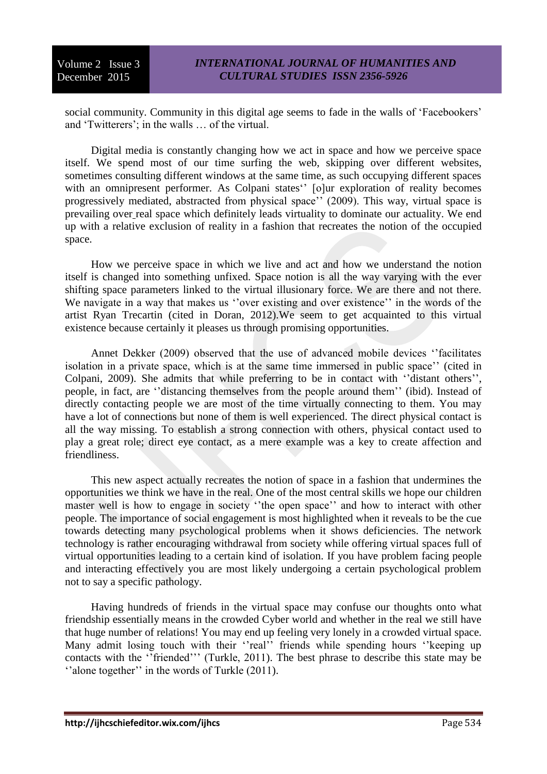social community. Community in this digital age seems to fade in the walls of 'Facebookers' and 'Twitterers'; in the walls … of the virtual.

Digital media is constantly changing how we act in space and how we perceive space itself. We spend most of our time surfing the web, skipping over different websites, sometimes consulting different windows at the same time, as such occupying different spaces with an omnipresent performer. As Colpani states<sup>"</sup> [o]ur exploration of reality becomes progressively mediated, abstracted from physical space'' (2009). This way, virtual space is prevailing over real space which definitely leads virtuality to dominate our actuality. We end up with a relative exclusion of reality in a fashion that recreates the notion of the occupied space.

How we perceive space in which we live and act and how we understand the notion itself is changed into something unfixed. Space notion is all the way varying with the ever shifting space parameters linked to the virtual illusionary force. We are there and not there. We navigate in a way that makes us "over existing and over existence" in the words of the artist Ryan Trecartin (cited in Doran, 2012).We seem to get acquainted to this virtual existence because certainly it pleases us through promising opportunities.

Annet Dekker (2009) observed that the use of advanced mobile devices ''facilitates isolation in a private space, which is at the same time immersed in public space'' (cited in Colpani, 2009). She admits that while preferring to be in contact with ''distant others'', people, in fact, are ''distancing themselves from the people around them'' (ibid). Instead of directly contacting people we are most of the time virtually connecting to them. You may have a lot of connections but none of them is well experienced. The direct physical contact is all the way missing. To establish a strong connection with others, physical contact used to play a great role; direct eye contact, as a mere example was a key to create affection and friendliness.

This new aspect actually recreates the notion of space in a fashion that undermines the opportunities we think we have in the real. One of the most central skills we hope our children master well is how to engage in society ''the open space'' and how to interact with other people. The importance of social engagement is most highlighted when it reveals to be the cue towards detecting many psychological problems when it shows deficiencies. The network technology is rather encouraging withdrawal from society while offering virtual spaces full of virtual opportunities leading to a certain kind of isolation. If you have problem facing people and interacting effectively you are most likely undergoing a certain psychological problem not to say a specific pathology.

Having hundreds of friends in the virtual space may confuse our thoughts onto what friendship essentially means in the crowded Cyber world and whether in the real we still have that huge number of relations! You may end up feeling very lonely in a crowded virtual space. Many admit losing touch with their ''real'' friends while spending hours ''keeping up contacts with the ''friended''' (Turkle, 2011). The best phrase to describe this state may be ''alone together'' in the words of Turkle (2011).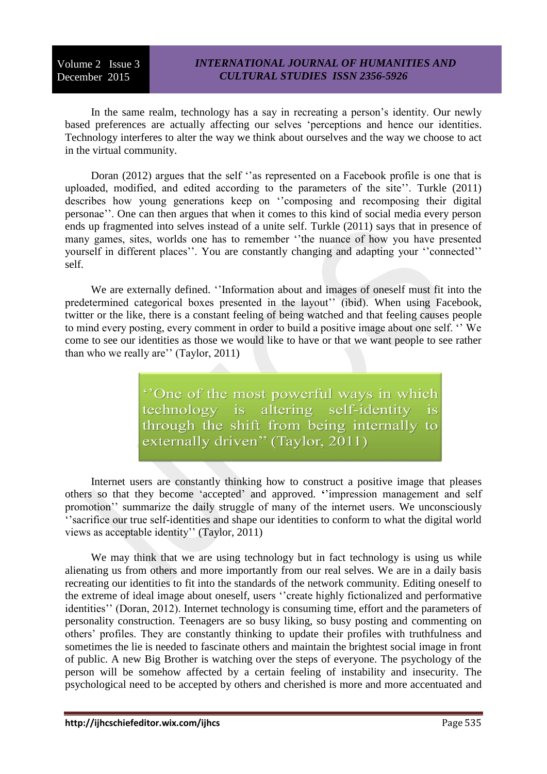In the same realm, technology has a say in recreating a person's identity. Our newly based preferences are actually affecting our selves 'perceptions and hence our identities. Technology interferes to alter the way we think about ourselves and the way we choose to act in the virtual community.

Doran (2012) argues that the self ''as represented on a Facebook profile is one that is uploaded, modified, and edited according to the parameters of the site''. Turkle (2011) describes how young generations keep on "composing and recomposing their digital personae''. One can then argues that when it comes to this kind of social media every person ends up fragmented into selves instead of a unite self. Turkle (2011) says that in presence of many games, sites, worlds one has to remember ''the nuance of how you have presented yourself in different places''. You are constantly changing and adapting your ''connected'' self.

We are externally defined. ''Information about and images of oneself must fit into the predetermined categorical boxes presented in the layout'' (ibid). When using Facebook, twitter or the like, there is a constant feeling of being watched and that feeling causes people to mind every posting, every comment in order to build a positive image about one self. '' We come to see our identities as those we would like to have or that we want people to see rather than who we really are'' (Taylor, 2011)

> "One of the most powerful ways in which technology is altering self-identity  $is$ through the shift from being internally to externally driven" (Taylor, 2011)

Internet users are constantly thinking how to construct a positive image that pleases others so that they become 'accepted' and approved. **'**'impression management and self promotion'' summarize the daily struggle of many of the internet users. We unconsciously ''sacrifice our true self-identities and shape our identities to conform to what the digital world views as acceptable identity'' (Taylor, 2011)

We may think that we are using technology but in fact technology is using us while alienating us from others and more importantly from our real selves. We are in a daily basis recreating our identities to fit into the standards of the network community. Editing oneself to the extreme of ideal image about oneself, users ''create highly fictionalized and performative identities'' (Doran, 2012). Internet technology is consuming time, effort and the parameters of personality construction. Teenagers are so busy liking, so busy posting and commenting on others' profiles. They are constantly thinking to update their profiles with truthfulness and sometimes the lie is needed to fascinate others and maintain the brightest social image in front of public. A new Big Brother is watching over the steps of everyone. The psychology of the person will be somehow affected by a certain feeling of instability and insecurity. The psychological need to be accepted by others and cherished is more and more accentuated and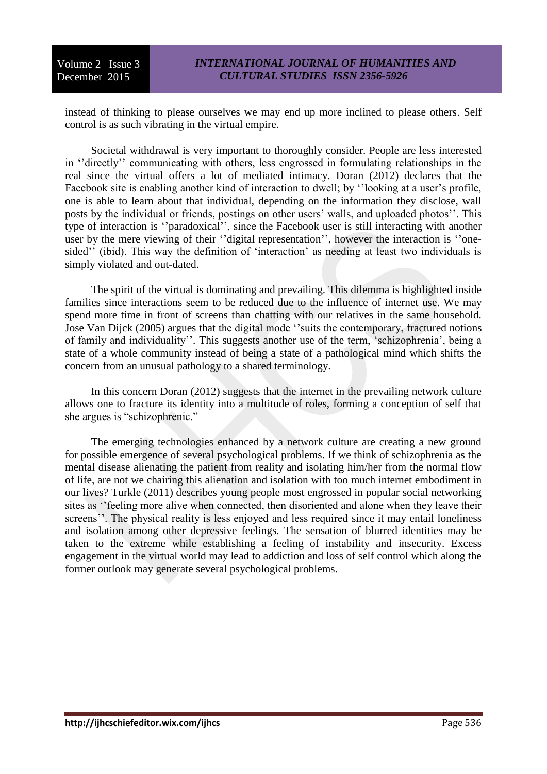instead of thinking to please ourselves we may end up more inclined to please others. Self control is as such vibrating in the virtual empire.

Societal withdrawal is very important to thoroughly consider. People are less interested in ''directly'' communicating with others, less engrossed in formulating relationships in the real since the virtual offers a lot of mediated intimacy. Doran (2012) declares that the Facebook site is enabling another kind of interaction to dwell; by ''looking at a user's profile, one is able to learn about that individual, depending on the information they disclose, wall posts by the individual or friends, postings on other users' walls, and uploaded photos''. This type of interaction is ''paradoxical'', since the Facebook user is still interacting with another user by the mere viewing of their ''digital representation'', however the interaction is ''onesided'' (ibid). This way the definition of 'interaction' as needing at least two individuals is simply violated and out-dated.

The spirit of the virtual is dominating and prevailing. This dilemma is highlighted inside families since interactions seem to be reduced due to the influence of internet use. We may spend more time in front of screens than chatting with our relatives in the same household. Jose Van Dijck (2005) argues that the digital mode ''suits the contemporary, fractured notions of family and individuality''. This suggests another use of the term, 'schizophrenia', being a state of a whole community instead of being a state of a pathological mind which shifts the concern from an unusual pathology to a shared terminology.

In this concern Doran (2012) suggests that the internet in the prevailing network culture allows one to fracture its identity into a multitude of roles, forming a conception of self that she argues is "schizophrenic."

The emerging technologies enhanced by a network culture are creating a new ground for possible emergence of several psychological problems. If we think of schizophrenia as the mental disease alienating the patient from reality and isolating him/her from the normal flow of life, are not we chairing this alienation and isolation with too much internet embodiment in our lives? Turkle (2011) describes young people most engrossed in popular social networking sites as ''feeling more alive when connected, then disoriented and alone when they leave their screens''. The physical reality is less enjoyed and less required since it may entail loneliness and isolation among other depressive feelings. The sensation of blurred identities may be taken to the extreme while establishing a feeling of instability and insecurity. Excess engagement in the virtual world may lead to addiction and loss of self control which along the former outlook may generate several psychological problems.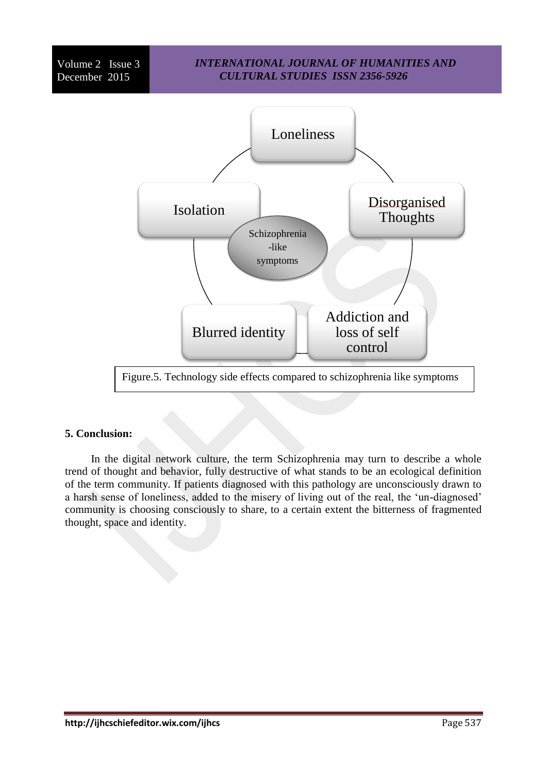### *INTERNATIONAL JOURNAL OF HUMANITIES AND CULTURAL STUDIES ISSN 2356-5926*



#### **5. Conclusion:**

In the digital network culture, the term Schizophrenia may turn to describe a whole trend of thought and behavior, fully destructive of what stands to be an ecological definition of the term community. If patients diagnosed with this pathology are unconsciously drawn to a harsh sense of loneliness, added to the misery of living out of the real, the 'un-diagnosed' community is choosing consciously to share, to a certain extent the bitterness of fragmented thought, space and identity.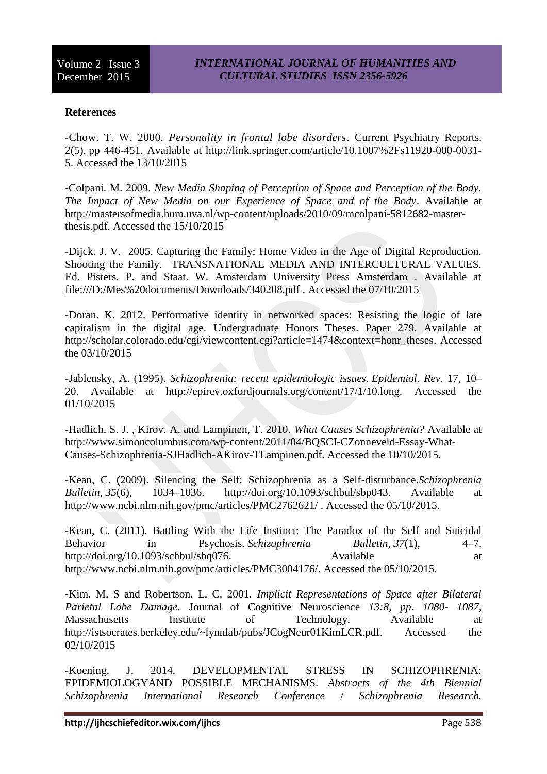### **References**

-Chow. T. W. 2000. *Personality in frontal lobe disorders*. Current [Psychiatry](http://link.springer.com/journal/11920) Reports. 2(5). pp 446-451. Available at [http://link.springer.com/article/10.1007%2Fs11920-000-0031-](http://link.springer.com/article/10.1007%2Fs11920-000-0031-5) [5.](http://link.springer.com/article/10.1007%2Fs11920-000-0031-5) Accessed the 13/10/2015

-Colpani. M. 2009. *New Media Shaping of Perception of Space and Perception of the Body. The Impact of New Media on our Experience of Space and of the Body*. Available at http://mastersofmedia.hum.uva.nl/wp-content/uploads/2010/09/mcolpani-5812682-masterthesis.pdf. Accessed the 15/10/2015

-Dijck. J. V. 2005. Capturing the Family: Home Video in the Age of Digital Reproduction. Shooting the Family. TRANSNATIONAL MEDIA AND INTERCULTURAL VALUES. Ed. Pisters. P. and Staat. W. Amsterdam University Press Amsterdam . Available at [file:///D:/Mes%20documents/Downloads/340208.pdf . Accessed the 07/10/2015](file:///D:/Mes%20documents/Downloads/340208.pdf%20.%20Accessed%20the%2007/10/2015)

-Doran. K. 2012. Performative identity in networked spaces: Resisting the logic of late capitalism in the digital age. Undergraduate Honors Theses. Paper 279. Available at [http://scholar.colorado.edu/cgi/viewcontent.cgi?article=1474&context=honr\\_theses.](http://scholar.colorado.edu/cgi/viewcontent.cgi?article=1474&context=honr_theses) Accessed the 03/10/2015

-Jablensky, A. (1995). *Schizophrenia: recent epidemiologic issues*. *Epidemiol. Rev*. 17, 10– 20. Available at [http://epirev.oxfordjournals.org/content/17/1/10.long. Accessed the](http://epirev.oxfordjournals.org/content/17/1/10.long.%20Accessed%20the%2001/10/2015)  [01/10/2015](http://epirev.oxfordjournals.org/content/17/1/10.long.%20Accessed%20the%2001/10/2015)

-Hadlich. S. J. , Kirov. A, and Lampinen, T. 2010. *What Causes Schizophrenia?* Available at [http://www.simoncolumbus.com/wp-content/2011/04/BQSCI-CZonneveld-Essay-What-](http://www.simoncolumbus.com/wp-content/2011/04/BQSCI-CZonneveld-Essay-What-Causes-Schizophrenia-SJHadlich-AKirov-TLampinen.pdf)[Causes-Schizophrenia-SJHadlich-AKirov-TLampinen.pdf.](http://www.simoncolumbus.com/wp-content/2011/04/BQSCI-CZonneveld-Essay-What-Causes-Schizophrenia-SJHadlich-AKirov-TLampinen.pdf) Accessed the 10/10/2015.

-Kean, C. (2009). Silencing the Self: Schizophrenia as a Self-disturbance.*Schizophrenia Bulletin*, *35*(6), 1034–1036. [http://doi.org/10.1093/schbul/sbp043.](http://doi.org/10.1093/schbul/sbp043) Available at http://www.ncbi.nlm.nih.gov/pmc/articles/PMC2762621/ . Accessed the 05/10/2015.

-Kean, C. (2011). Battling With the Life Instinct: The Paradox of the Self and Suicidal Behavior in Psychosis. *Schizophrenia Bulletin*, *37*(1), 4–7. [http://doi.org/10.1093/schbul/sbq076.](http://doi.org/10.1093/schbul/sbq076) Available at Available at [http://www.ncbi.nlm.nih.gov/pmc/articles/PMC3004176/.](http://www.ncbi.nlm.nih.gov/pmc/articles/PMC3004176/) Accessed the 05/10/2015.

-Kim. M. S and Robertson. L. C. 2001. *Implicit Representations of Space after Bilateral Parietal Lobe Damage.* Journal of Cognitive Neuroscience *13:8, pp. 1080- 1087,*  Massachusetts Institute of Technology. Available at [http://istsocrates.berkeley.edu/~lynnlab/pubs/JCogNeur01KimLCR.pdf.](http://istsocrates.berkeley.edu/~lynnlab/pubs/JCogNeur01KimLCR.pdf) Accessed the 02/10/2015

-Koening. J. 2014. DEVELOPMENTAL STRESS IN SCHIZOPHRENIA: EPIDEMIOLOGYAND POSSIBLE MECHANISMS. *Abstracts of the 4th Biennial Schizophrenia International Research Conference* / *Schizophrenia Research.*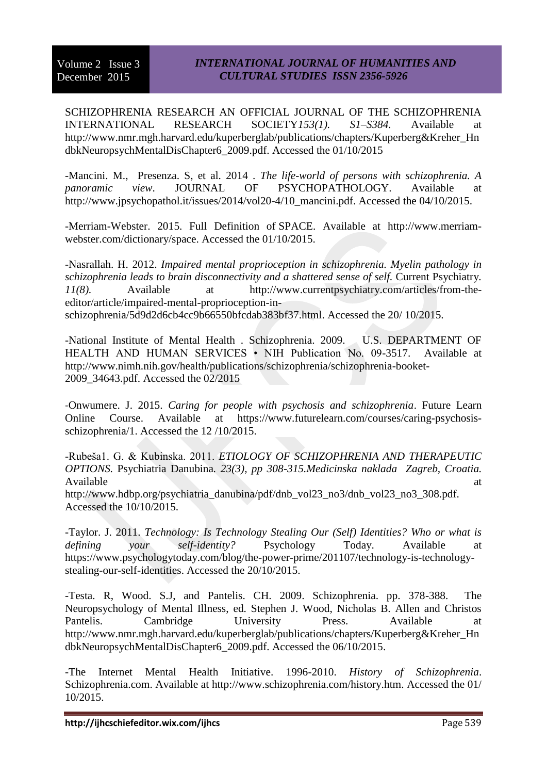SCHIZOPHRENIA RESEARCH AN OFFICIAL JOURNAL OF THE SCHIZOPHRENIA INTERNATIONAL RESEARCH SOCIETY*153(1). S1*–*S384.* Available at [http://www.nmr.mgh.harvard.edu/kuperberglab/publications/chapters/Kuperberg&Kreher\\_Hn](http://www.nmr.mgh.harvard.edu/kuperberglab/publications/chapters/Kuperberg&Kreher_HndbkNeuropsychMentalDisChapter6_2009.pdf.%20Accessed%20the%2001/10/2015) [dbkNeuropsychMentalDisChapter6\\_2009.pdf. Accessed the 01/10/2015](http://www.nmr.mgh.harvard.edu/kuperberglab/publications/chapters/Kuperberg&Kreher_HndbkNeuropsychMentalDisChapter6_2009.pdf.%20Accessed%20the%2001/10/2015)

-Mancini. M., Presenza. S, et al. 2014 . *The life-world of persons with schizophrenia. A panoramic view*. JOURNAL OF PSYCHOPATHOLOGY. Available at [http://www.jpsychopathol.it/issues/2014/vol20-4/10\\_mancini.pdf. Accessed the 04/10/2015.](http://www.jpsychopathol.it/issues/2014/vol20-4/10_mancini.pdf.%20Accessed%20the%2004/10/2015)

-Merriam-Webster. 2015. Full Definition of SPACE. Available at [http://www.merriam](http://www.merriam-webster.com/dictionary/space)[webster.com/dictionary/space.](http://www.merriam-webster.com/dictionary/space) Accessed the 01/10/2015.

-Nasrallah. H. 2012. *Impaired mental proprioception in schizophrenia. Myelin pathology in schizophrenia leads to brain disconnectivity and a shattered sense of self.* Current Psychiatry*. 11(8).* Available at [http://www.currentpsychiatry.com/articles/from-the](http://www.currentpsychiatry.com/articles/from-the-editor/article/impaired-mental-proprioception-in-schizophrenia/5d9d2d6cb4cc9b66550bfcdab383bf37.html)[editor/article/impaired-mental-proprioception-in](http://www.currentpsychiatry.com/articles/from-the-editor/article/impaired-mental-proprioception-in-schizophrenia/5d9d2d6cb4cc9b66550bfcdab383bf37.html)[schizophrenia/5d9d2d6cb4cc9b66550bfcdab383bf37.html.](http://www.currentpsychiatry.com/articles/from-the-editor/article/impaired-mental-proprioception-in-schizophrenia/5d9d2d6cb4cc9b66550bfcdab383bf37.html) Accessed the 20/ 10/2015.

-National Institute of Mental Health . Schizophrenia. 2009. U.S. DEPARTMENT OF HEALTH AND HUMAN SERVICES • NIH Publication No. 09-3517. Available at [http://www.nimh.nih.gov/health/publications/schizophrenia/schizophrenia-booket-](http://www.nimh.nih.gov/health/publications/schizophrenia/schizophrenia-booket-2009_34643.pdf.%20Accessed%20the%2002/2015)[2009\\_34643.pdf. Accessed the 02/2015](http://www.nimh.nih.gov/health/publications/schizophrenia/schizophrenia-booket-2009_34643.pdf.%20Accessed%20the%2002/2015)

-[Onwumere.](https://www.futurelearn.com/profiles/705354) J. 2015. *[Caring for people with psychosis and schizophrenia](http://email.futurelearn.com/wf/click?upn=tH4-2Fmli62V7iqIL38lIvkRa3-2BfcdLHIDzY2FJDtm3akteXVKVtkE96SHobnk-2B1ZtfUiwkHLRlt080Lfo4TZQKv3DbRF5cvqeHDr5w1kqxbk-3D_0mlZxFJXOG0PXFkqvz5wNIyurekg6c4nv1Iwh3mB2SQUc0WOUawG8Pg5pqNUkS0rkvDIfsI7QkFXVd-2FAXEMNhsUWyxAyiTjCGq0lQFU-2BvUFQ4S7xlGXktw3w18Lq1UGZ58rLK9eqXFrSI9z-2Bb7Tdulzv495o-2BBBy6Az080e4zAN2drVha-2BBqzgb1mWNJROW16wpQSCZPwq0GKZf3u-2FSJnqrznCxVMY6qFaN14liBTUo-2FvvvwW6Ignhc7a6SHm5ktB7M6v9GrQJtD9Wn0FBEBPBSRaqCqj9PBhleI7vif08354ukvAe0M1J3qgy-2FCgAnZFJbSv41IaRQ5JHr5EB-2FY4etQgNF068DPWqQhR0MEo1uka3RK-2FzzCvCM4HCW9V-2FQZIm-2Ffwk20-2Bk5BaDOMetzQ7oZZTySSqczelxVKmhWiZANCnzOUl2ALLD76It6QhX8o9ZcWRvUXUpMJOOKIX-2B-2FsXg-3D-3D)*. Future Learn Online Course. Available at [https://www.futurelearn.com/courses/caring-psychosis](https://www.futurelearn.com/courses/caring-psychosis-schizophrenia/1)[schizophrenia/1.](https://www.futurelearn.com/courses/caring-psychosis-schizophrenia/1) Accessed the 12 /10/2015.

-Rubeša1. G. & Kubinska. 2011. *ETIOLOGY OF SCHIZOPHRENIA AND THERAPEUTIC OPTIONS.* Psychiatria Danubina*. 23(3), pp 308-315.Medicinska naklada Zagreb, Croatia.*  Available at a strong and the strong strong and the strong strong strong at a strong strong strong strong strong strong strong strong strong strong strong strong strong strong strong strong strong strong strong strong stro

[http://www.hdbp.org/psychiatria\\_danubina/pdf/dnb\\_vol23\\_no3/dnb\\_vol23\\_no3\\_308.pdf.](http://www.hdbp.org/psychiatria_danubina/pdf/dnb_vol23_no3/dnb_vol23_no3_308.pdf) Accessed the 10/10/2015.

-Taylor. J. 2011. *Technology: Is Technology Stealing Our (Self) Identities? Who or what is defining your self-identity?* Psychology Today. Available at [https://www.psychologytoday.com/blog/the-power-prime/201107/technology-is-technology](https://www.psychologytoday.com/blog/the-power-prime/201107/technology-is-technology-stealing-our-self-identities)[stealing-our-self-identities.](https://www.psychologytoday.com/blog/the-power-prime/201107/technology-is-technology-stealing-our-self-identities) Accessed the 20/10/2015.

-Testa. R, Wood. S.J, and Pantelis. CH. 2009. Schizophrenia. pp. 378-388. The Neuropsychology of Mental Illness, ed. Stephen J. Wood, Nicholas B. Allen and Christos Pantelis. Cambridge University Press. Available at [http://www.nmr.mgh.harvard.edu/kuperberglab/publications/chapters/Kuperberg&Kreher\\_Hn](http://www.nmr.mgh.harvard.edu/kuperberglab/publications/chapters/Kuperberg&Kreher_HndbkNeuropsychMentalDisChapter6_2009.pdf.%20Accessed%20the%2006/10/2015) [dbkNeuropsychMentalDisChapter6\\_2009.pdf. Accessed the 06/10/2015.](http://www.nmr.mgh.harvard.edu/kuperberglab/publications/chapters/Kuperberg&Kreher_HndbkNeuropsychMentalDisChapter6_2009.pdf.%20Accessed%20the%2006/10/2015)

-The Internet Mental Health Initiative. 1996-2010. *History of Schizophrenia*. Schizophrenia.com. Available at [http://www.schizophrenia.com/history.htm. Accessed the 01/](http://www.schizophrenia.com/history.htm.%20Accessed%20the%2001/%2010/2015)  [10/2015.](http://www.schizophrenia.com/history.htm.%20Accessed%20the%2001/%2010/2015)